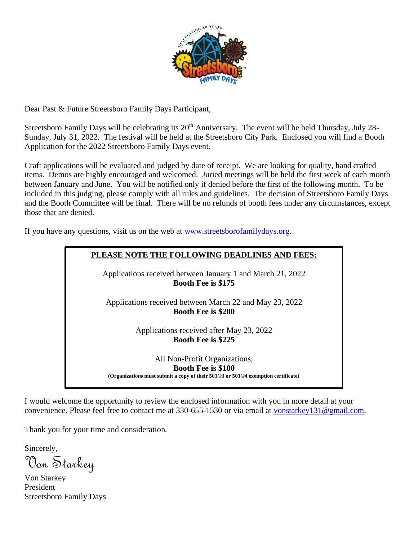

Dear Past & Future Streetsboro Family Days Participant,

Streetsboro Family Days will be celebrating its  $20<sup>th</sup>$  Anniversary. The event will be held Thursday, July 28-Sunday, July 31, 2022. The festival will be held at the Streetsboro City Park. Enclosed you will find a Booth Application for the 2022 Streetsboro Family Days event.

Craft applications will be evaluated and judged by date of receipt. We are looking for quality, hand crafted items. Demos are highly encouraged and welcomed. Juried meetings will be held the first week of each month between January and June. You will be notified only if denied before the first of the following month. To be included in this judging, please comply with all rules and guidelines. The decision of Streetsboro Family Days and the Booth Committee will be final. There will be no refunds of booth fees under any circumstances, except those that are denied.

If you have any questions, visit us on the web at [www.streetsborofamilydays.org.](http://www.streetsborofamilydays.org/)



I would welcome the opportunity to review the enclosed information with you in more detail at your convenience. Please feel free to contact me at 330-655-1530 or via email at [vonstarkey131@gmail.com.](mailto:vonstarkey131@gmail.com)

Thank you for your time and consideration.

Sincerely,

Von Starkey

Von Starkey President Streetsboro Family Days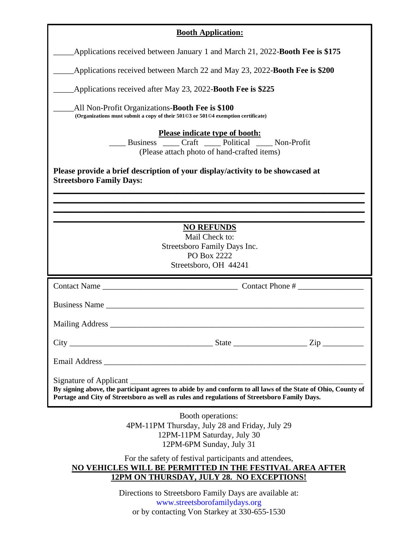## **Booth Application:**

\_\_\_\_\_Applications received between January 1 and March 21, 2022-**Booth Fee is \$175**

\_\_\_\_\_Applications received between March 22 and May 23, 2022-**Booth Fee is \$200**

\_\_\_\_\_Applications received after May 23, 2022-**Booth Fee is \$225**

\_\_\_\_\_All Non-Profit Organizations-**Booth Fee is \$100 (Organizations must submit a copy of their 501©3 or 501©4 exemption certificate)**

## **Please indicate type of booth:**

\_\_\_\_ Business \_\_\_\_ Craft \_\_\_\_ Political \_\_\_\_ Non-Profit (Please attach photo of hand-crafted items)

**Please provide a brief description of your display/activity to be showcased at Streetsboro Family Days:**

## **\_\_\_\_\_\_\_\_\_\_\_\_\_\_\_\_\_\_\_\_\_\_\_\_\_\_\_\_\_\_\_\_\_\_\_\_\_\_\_\_\_\_\_\_\_\_\_\_\_\_\_\_\_\_\_\_\_\_\_\_\_\_\_\_\_\_\_\_\_\_\_\_\_\_\_\_ NO REFUNDS**

**\_\_\_\_\_\_\_\_\_\_\_\_\_\_\_\_\_\_\_\_\_\_\_\_\_\_\_\_\_\_\_\_\_\_\_\_\_\_\_\_\_\_\_\_\_\_\_\_\_\_\_\_\_\_\_\_\_\_\_\_\_\_\_\_\_\_\_\_\_\_\_\_\_\_\_\_ \_\_\_\_\_\_\_\_\_\_\_\_\_\_\_\_\_\_\_\_\_\_\_\_\_\_\_\_\_\_\_\_\_\_\_\_\_\_\_\_\_\_\_\_\_\_\_\_\_\_\_\_\_\_\_\_\_\_\_\_\_\_\_\_\_\_\_\_\_\_\_\_\_\_\_\_**  $\mathcal{L}_\mathcal{L} = \mathcal{L}_\mathcal{L} = \mathcal{L}_\mathcal{L} = \mathcal{L}_\mathcal{L} = \mathcal{L}_\mathcal{L} = \mathcal{L}_\mathcal{L} = \mathcal{L}_\mathcal{L} = \mathcal{L}_\mathcal{L} = \mathcal{L}_\mathcal{L} = \mathcal{L}_\mathcal{L} = \mathcal{L}_\mathcal{L} = \mathcal{L}_\mathcal{L} = \mathcal{L}_\mathcal{L} = \mathcal{L}_\mathcal{L} = \mathcal{L}_\mathcal{L} = \mathcal{L}_\mathcal{L} = \mathcal{L}_\mathcal{L}$ 

> Mail Check to: Streetsboro Family Days Inc. PO Box 2222 Streetsboro, OH 44241

| Business Name                                                                                                |  |  |
|--------------------------------------------------------------------------------------------------------------|--|--|
|                                                                                                              |  |  |
|                                                                                                              |  |  |
|                                                                                                              |  |  |
| By signing above, the participant agrees to abide by and conform to all laws of the State of Ohio, County of |  |  |
| Portage and City of Streetsboro as well as rules and regulations of Streetsboro Family Days.                 |  |  |

Booth operations: 4PM-11PM Thursday, July 28 and Friday, July 29 12PM-11PM Saturday, July 30 12PM-6PM Sunday, July 31

## For the safety of festival participants and attendees, **NO VEHICLES WILL BE PERMITTED IN THE FESTIVAL AREA AFTER 12PM ON THURSDAY, JULY 28. NO EXCEPTIONS!**

Directions to Streetsboro Family Days are available at: [www.streetsborofamilydays.org](http://www.streetsborofamilydays.org/) or by contacting Von Starkey at 330-655-1530